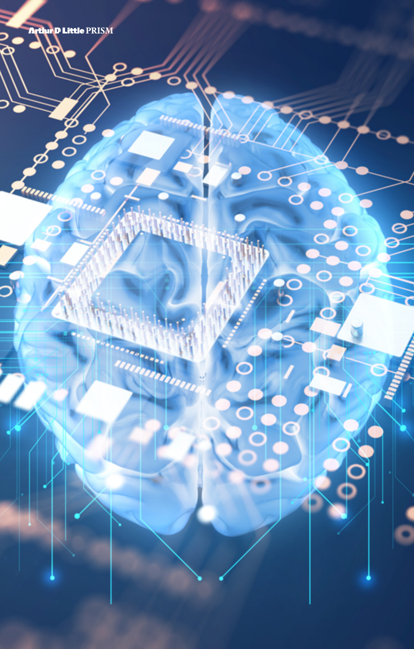Arthir D Little PRISM

OOI

W

 $\overline{u}_l$ 

٥

um

5

o<br>वि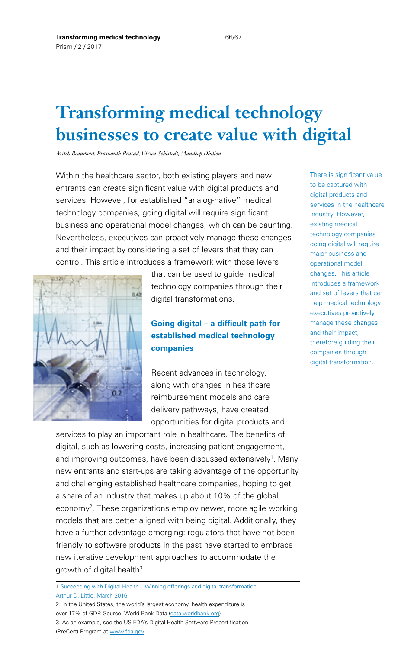# **Transforming medical technology businesses to create value with digital**

*Mitch Beaumont, Prashanth Prasad, Ulrica Sehlstedt, Mandeep Dhillon*

Within the healthcare sector, both existing players and new entrants can create significant value with digital products and services. However, for established "analog-native" medical technology companies, going digital will require significant business and operational model changes, which can be daunting. Nevertheless, executives can proactively manage these changes and their impact by considering a set of levers that they can control. This article introduces a framework with those levers



that can be used to quide medical technology companies through their digital transformations.

# **Going digital – a difficult path for established medical technology companies**

Recent advances in technology, along with changes in healthcare reimbursement models and care delivery pathways, have created opportunities for digital products and

services to play an important role in healthcare. The benefits of digital, such as lowering costs, increasing patient engagement, and improving outcomes, have been discussed extensively<sup>1</sup>. Many new entrants and start-ups are taking advantage of the opportunity and challenging established healthcare companies, hoping to get a share of an industry that makes up about 10% of the global economy<sup>2</sup>. These organizations employ newer, more agile working models that are better aligned with being digital. Additionally, they have a further advantage emerging: regulators that have not been friendly to software products in the past have started to embrace new iterative development approaches to accommodate the growth of digital health<sup>3</sup>.

1.[Succeeding with Digital Health – Winning offerings and digital transformation,](http://www.adlittle.com/viewpoints.html?&view=667)  [Arthur D. Little, March 2016](http://www.adlittle.com/viewpoints.html?&view=667)

2. In the United States, the world's largest economy, health expenditure is over 17% of GDP. Source: World Bank Data ([data.worldbank.org](http://data.worldbank.org)) 3. As an example, see the US FDA's Digital Health Software Precertification (PreCert) Program at [www.fda.gov](http://www.fda.gov)

There is significant value to be captured with digital products and services in the healthcare industry. However, existing medical technology companies going digital will require major business and operational model changes. This article introduces a framework and set of levers that can help medical technology executives proactively manage these changes and their impact, therefore guiding their companies through digital transformation.

.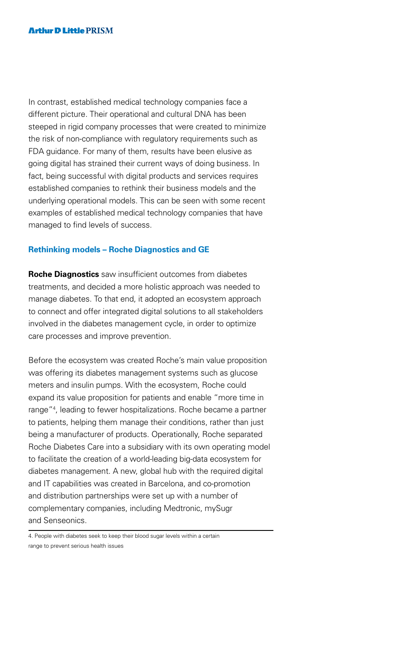In contrast, established medical technology companies face a different picture. Their operational and cultural DNA has been steeped in rigid company processes that were created to minimize the risk of non-compliance with regulatory requirements such as FDA guidance. For many of them, results have been elusive as going digital has strained their current ways of doing business. In fact, being successful with digital products and services requires established companies to rethink their business models and the underlying operational models. This can be seen with some recent examples of established medical technology companies that have managed to find levels of success.

#### **Rethinking models – Roche Diagnostics and GE**

**Roche Diagnostics** saw insufficient outcomes from diabetes treatments, and decided a more holistic approach was needed to manage diabetes. To that end, it adopted an ecosystem approach to connect and offer integrated digital solutions to all stakeholders involved in the diabetes management cycle, in order to optimize care processes and improve prevention.

Before the ecosystem was created Roche's main value proposition was offering its diabetes management systems such as glucose meters and insulin pumps. With the ecosystem, Roche could expand its value proposition for patients and enable "more time in range"4 , leading to fewer hospitalizations. Roche became a partner to patients, helping them manage their conditions, rather than just being a manufacturer of products. Operationally, Roche separated Roche Diabetes Care into a subsidiary with its own operating model to facilitate the creation of a world-leading big-data ecosystem for diabetes management. A new, global hub with the required digital and IT capabilities was created in Barcelona, and co-promotion and distribution partnerships were set up with a number of complementary companies, including Medtronic, mySugr and Senseonics.

<sup>4.</sup> People with diabetes seek to keep their blood sugar levels within a certain range to prevent serious health issues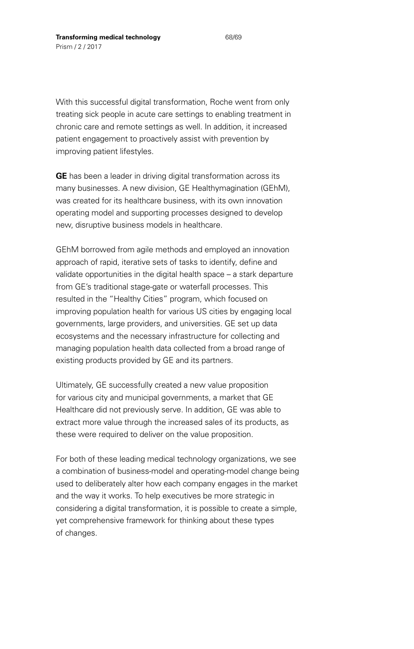With this successful digital transformation, Roche went from only treating sick people in acute care settings to enabling treatment in chronic care and remote settings as well. In addition, it increased patient engagement to proactively assist with prevention by improving patient lifestyles.

**GE** has been a leader in driving digital transformation across its many businesses. A new division, GE Healthymagination (GEhM), was created for its healthcare business, with its own innovation operating model and supporting processes designed to develop new, disruptive business models in healthcare.

GEhM borrowed from agile methods and employed an innovation approach of rapid, iterative sets of tasks to identify, define and validate opportunities in the digital health space – a stark departure from GE's traditional stage-gate or waterfall processes. This resulted in the "Healthy Cities" program, which focused on improving population health for various US cities by engaging local governments, large providers, and universities. GE set up data ecosystems and the necessary infrastructure for collecting and managing population health data collected from a broad range of existing products provided by GE and its partners.

Ultimately, GE successfully created a new value proposition for various city and municipal governments, a market that GE Healthcare did not previously serve. In addition, GE was able to extract more value through the increased sales of its products, as these were required to deliver on the value proposition.

For both of these leading medical technology organizations, we see a combination of business-model and operating-model change being used to deliberately alter how each company engages in the market and the way it works. To help executives be more strategic in considering a digital transformation, it is possible to create a simple, yet comprehensive framework for thinking about these types of changes.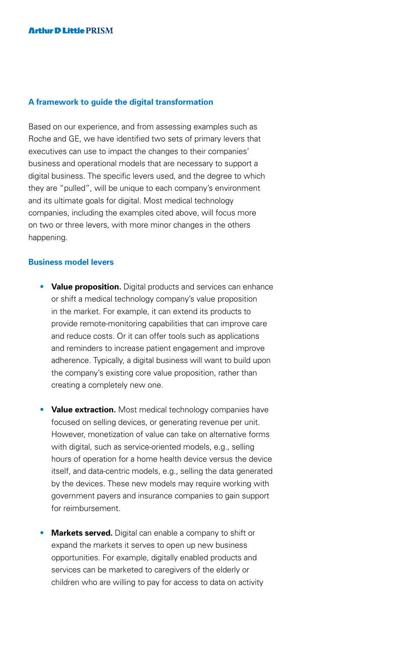#### **A framework to guide the digital transformation**

Based on our experience, and from assessing examples such as Roche and GE, we have identified two sets of primary levers that executives can use to impact the changes to their companies' business and operational models that are necessary to support a digital business. The specific levers used, and the degree to which they are "pulled", will be unique to each company's environment and its ultimate goals for digital. Most medical technology companies, including the examples cited above, will focus more on two or three levers, with more minor changes in the others happening.

#### **Business model levers**

- **Value proposition.** Digital products and services can enhance or shift a medical technology company's value proposition in the market. For example, it can extend its products to provide remote-monitoring capabilities that can improve care and reduce costs. Or it can offer tools such as applications and reminders to increase patient engagement and improve adherence. Typically, a digital business will want to build upon the company's existing core value proposition, rather than creating a completely new one.
- **Value extraction.** Most medical technology companies have focused on selling devices, or generating revenue per unit. However, monetization of value can take on alternative forms with digital, such as service-oriented models, e.g., selling hours of operation for a home health device versus the device itself, and data-centric models, e.g., selling the data generated by the devices. These new models may require working with government payers and insurance companies to gain support for reimbursement.
- **Markets served.** Digital can enable a company to shift or expand the markets it serves to open up new business opportunities. For example, digitally enabled products and services can be marketed to caregivers of the elderly or children who are willing to pay for access to data on activity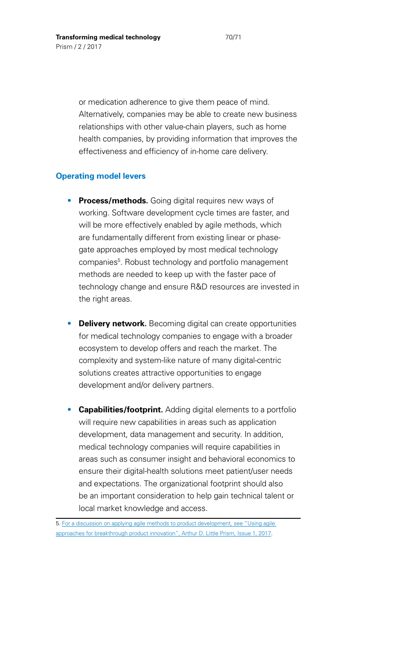or medication adherence to give them peace of mind. Alternatively, companies may be able to create new business relationships with other value-chain players, such as home health companies, by providing information that improves the effectiveness and efficiency of in-home care delivery.

#### **Operating model levers**

- **Process/methods.** Going digital requires new ways of working. Software development cycle times are faster, and will be more effectively enabled by agile methods, which are fundamentally different from existing linear or phasegate approaches employed by most medical technology companies<sup>5</sup>. Robust technology and portfolio management methods are needed to keep up with the faster pace of technology change and ensure R&D resources are invested in the right areas.
- **Delivery network.** Becoming digital can create opportunities for medical technology companies to engage with a broader ecosystem to develop offers and reach the market. The complexity and system-like nature of many digital-centric solutions creates attractive opportunities to engage development and/or delivery partners.
- **Capabilities/footprint.** Adding digital elements to a portfolio will require new capabilities in areas such as application development, data management and security. In addition, medical technology companies will require capabilities in areas such as consumer insight and behavioral economics to ensure their digital-health solutions meet patient/user needs and expectations. The organizational footprint should also be an important consideration to help gain technical talent or local market knowledge and access.

<sup>5.</sup> [For a discussion on applying agile methods to product development, see "Using agile](http://www.adlittle.com/prism-articles.html?&no_cache=1&year=2017)  [approaches for breakthrough product innovation", Arthur D. Little Prism, Issue 1, 2017](http://www.adlittle.com/prism-articles.html?&no_cache=1&year=2017).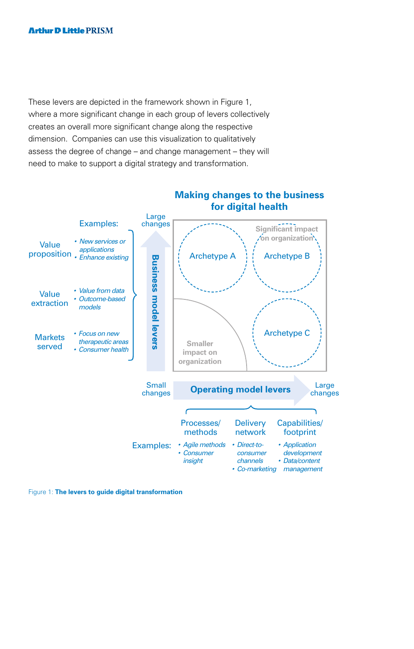These levers are depicted in the framework shown in Figure 1, where a more significant change in each group of levers collectively creates an overall more significant change along the respective dimension. Companies can use this visualization to qualitatively assess the degree of change – and change management – they will need to make to support a digital strategy and transformation.



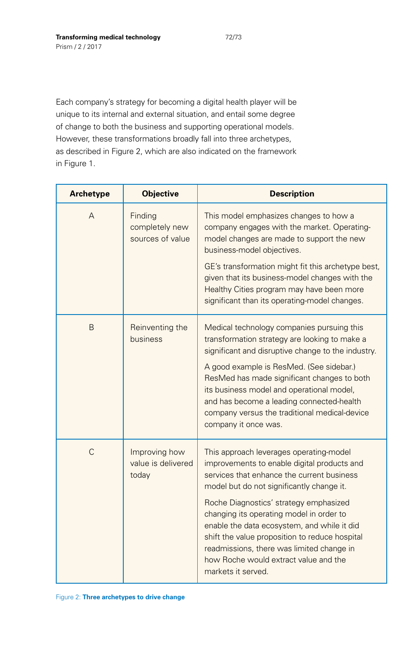Each company's strategy for becoming a digital health player will be unique to its internal and external situation, and entail some degree of change to both the business and supporting operational models. However, these transformations broadly fall into three archetypes, as described in Figure 2, which are also indicated on the framework in Figure 1.

| <b>Archetype</b> | <b>Objective</b>                              | <b>Description</b>                                                                                                                                                                                                                                                                              |
|------------------|-----------------------------------------------|-------------------------------------------------------------------------------------------------------------------------------------------------------------------------------------------------------------------------------------------------------------------------------------------------|
| A                | Finding<br>completely new<br>sources of value | This model emphasizes changes to how a<br>company engages with the market. Operating-<br>model changes are made to support the new<br>business-model objectives.<br>GE's transformation might fit this archetype best,                                                                          |
|                  |                                               | given that its business-model changes with the<br>Healthy Cities program may have been more<br>significant than its operating-model changes.                                                                                                                                                    |
| B                | Reinventing the<br>business                   | Medical technology companies pursuing this<br>transformation strategy are looking to make a<br>significant and disruptive change to the industry.                                                                                                                                               |
|                  |                                               | A good example is ResMed. (See sidebar.)<br>ResMed has made significant changes to both<br>its business model and operational model,<br>and has become a leading connected-health<br>company versus the traditional medical-device<br>company it once was.                                      |
| C                | Improving how<br>value is delivered<br>today  | This approach leverages operating-model<br>improvements to enable digital products and<br>services that enhance the current business<br>model but do not significantly change it.                                                                                                               |
|                  |                                               | Roche Diagnostics' strategy emphasized<br>changing its operating model in order to<br>enable the data ecosystem, and while it did<br>shift the value proposition to reduce hospital<br>readmissions, there was limited change in<br>how Roche would extract value and the<br>markets it served. |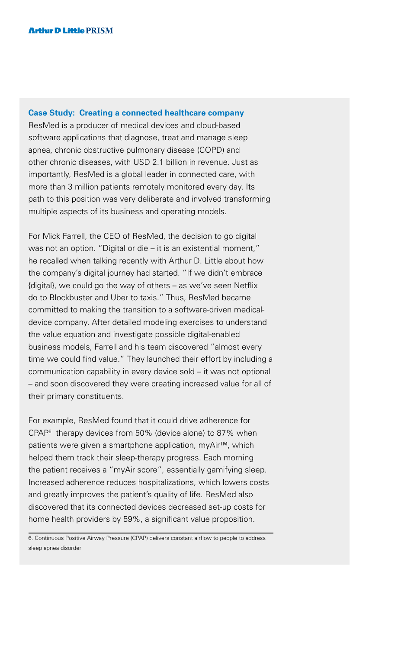#### **Case Study: Creating a connected healthcare company**

ResMed is a producer of medical devices and cloud-based software applications that diagnose, treat and manage sleep apnea, chronic obstructive pulmonary disease (COPD) and other chronic diseases, with USD 2.1 billion in revenue. Just as importantly, ResMed is a global leader in connected care, with more than 3 million patients remotely monitored every day. Its path to this position was very deliberate and involved transforming multiple aspects of its business and operating models.

For Mick Farrell, the CEO of ResMed, the decision to go digital was not an option. "Digital or die – it is an existential moment," he recalled when talking recently with Arthur D. Little about how the company's digital journey had started. "If we didn't embrace {digital}, we could go the way of others – as we've seen Netflix do to Blockbuster and Uber to taxis." Thus, ResMed became committed to making the transition to a software-driven medicaldevice company. After detailed modeling exercises to understand the value equation and investigate possible digital-enabled business models, Farrell and his team discovered "almost every time we could find value." They launched their effort by including a communication capability in every device sold – it was not optional – and soon discovered they were creating increased value for all of their primary constituents.

For example, ResMed found that it could drive adherence for CPAP6 therapy devices from 50% (device alone) to 87% when patients were given a smartphone application, myAir™, which helped them track their sleep-therapy progress. Each morning the patient receives a "myAir score", essentially gamifying sleep. Increased adherence reduces hospitalizations, which lowers costs and greatly improves the patient's quality of life. ResMed also discovered that its connected devices decreased set-up costs for home health providers by 59%, a significant value proposition.

<sup>6.</sup> Continuous Positive Airway Pressure (CPAP) delivers constant airflow to people to address sleep apnea disorder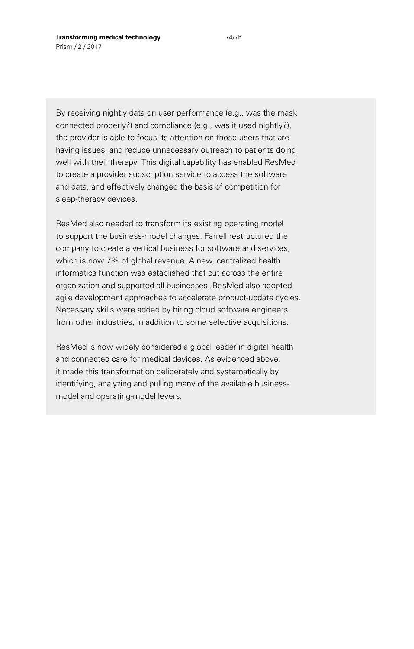By receiving nightly data on user performance (e.g., was the mask connected properly?) and compliance (e.g., was it used nightly?), the provider is able to focus its attention on those users that are having issues, and reduce unnecessary outreach to patients doing well with their therapy. This digital capability has enabled ResMed to create a provider subscription service to access the software and data, and effectively changed the basis of competition for sleep-therapy devices.

ResMed also needed to transform its existing operating model to support the business-model changes. Farrell restructured the company to create a vertical business for software and services, which is now 7% of global revenue. A new, centralized health informatics function was established that cut across the entire organization and supported all businesses. ResMed also adopted agile development approaches to accelerate product-update cycles. Necessary skills were added by hiring cloud software engineers from other industries, in addition to some selective acquisitions.

ResMed is now widely considered a global leader in digital health and connected care for medical devices. As evidenced above, it made this transformation deliberately and systematically by identifying, analyzing and pulling many of the available businessmodel and operating-model levers.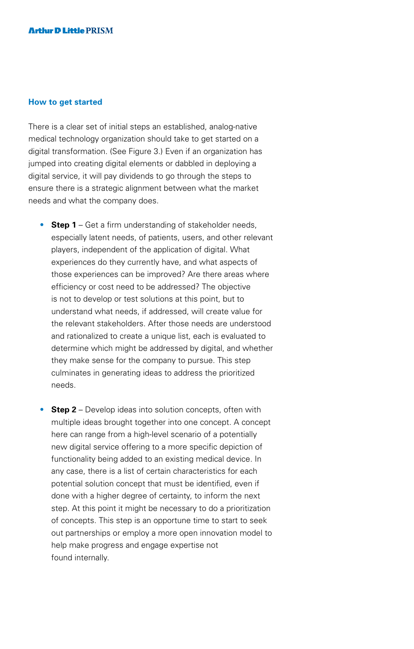#### **How to get started**

There is a clear set of initial steps an established, analog-native medical technology organization should take to get started on a digital transformation. (See Figure 3.) Even if an organization has jumped into creating digital elements or dabbled in deploying a digital service, it will pay dividends to go through the steps to ensure there is a strategic alignment between what the market needs and what the company does.

- **Step 1** Get a firm understanding of stakeholder needs, especially latent needs, of patients, users, and other relevant players, independent of the application of digital. What experiences do they currently have, and what aspects of those experiences can be improved? Are there areas where efficiency or cost need to be addressed? The objective is not to develop or test solutions at this point, but to understand what needs, if addressed, will create value for the relevant stakeholders. After those needs are understood and rationalized to create a unique list, each is evaluated to determine which might be addressed by digital, and whether they make sense for the company to pursue. This step culminates in generating ideas to address the prioritized needs.
- **Step 2** Develop ideas into solution concepts, often with multiple ideas brought together into one concept. A concept here can range from a high-level scenario of a potentially new digital service offering to a more specific depiction of functionality being added to an existing medical device. In any case, there is a list of certain characteristics for each potential solution concept that must be identified, even if done with a higher degree of certainty, to inform the next step. At this point it might be necessary to do a prioritization of concepts. This step is an opportune time to start to seek out partnerships or employ a more open innovation model to help make progress and engage expertise not found internally.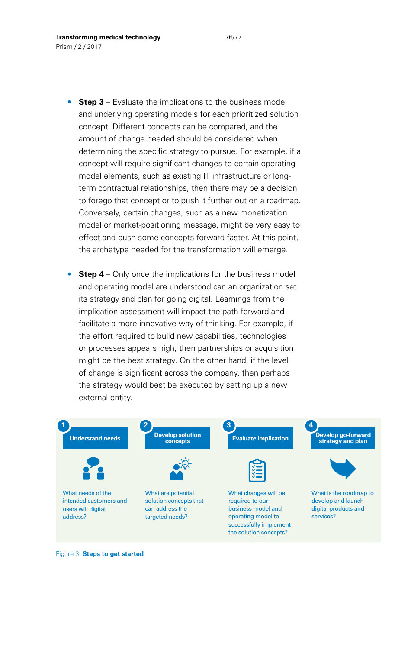- **Step 3** Evaluate the implications to the business model and underlying operating models for each prioritized solution concept. Different concepts can be compared, and the amount of change needed should be considered when determining the specific strategy to pursue. For example, if a concept will require significant changes to certain operatingmodel elements, such as existing IT infrastructure or longterm contractual relationships, then there may be a decision to forego that concept or to push it further out on a roadmap. Conversely, certain changes, such as a new monetization model or market-positioning message, might be very easy to effect and push some concepts forward faster. At this point, the archetype needed for the transformation will emerge.
- **Step 4** Only once the implications for the business model and operating model are understood can an organization set its strategy and plan for going digital. Learnings from the implication assessment will impact the path forward and facilitate a more innovative way of thinking. For example, if the effort required to build new capabilities, technologies or processes appears high, then partnerships or acquisition might be the best strategy. On the other hand, if the level of change is significant across the company, then perhaps the strategy would best be executed by setting up a new external entity.



Figure 3: **Steps to get started**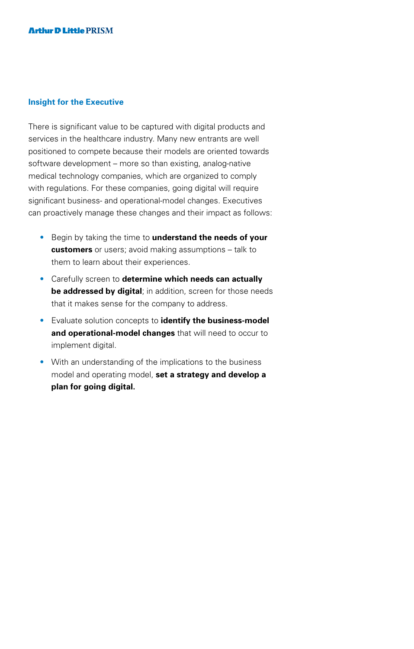#### **Insight for the Executive**

There is significant value to be captured with digital products and services in the healthcare industry. Many new entrants are well positioned to compete because their models are oriented towards software development – more so than existing, analog-native medical technology companies, which are organized to comply with regulations. For these companies, going digital will require significant business- and operational-model changes. Executives can proactively manage these changes and their impact as follows:

- Begin by taking the time to **understand the needs of your customers** or users; avoid making assumptions – talk to them to learn about their experiences.
- Carefully screen to **determine which needs can actually be addressed by digital**; in addition, screen for those needs that it makes sense for the company to address.
- Evaluate solution concepts to **identify the business-model and operational-model changes** that will need to occur to implement digital.
- With an understanding of the implications to the business model and operating model, **set a strategy and develop a plan for going digital.**